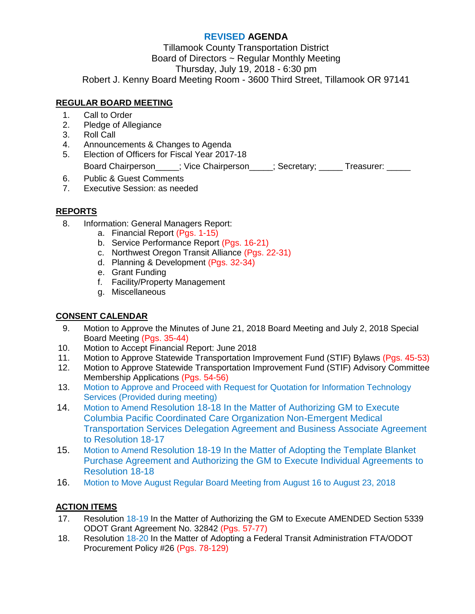# **REVISED AGENDA**

Tillamook County Transportation District Board of Directors ~ Regular Monthly Meeting Thursday, July 19, 2018 - 6:30 pm Robert J. Kenny Board Meeting Room - 3600 Third Street, Tillamook OR 97141

# **REGULAR BOARD MEETING**

- 1. Call to Order
- 2. Pledge of Allegiance
- 3. Roll Call
- 4. Announcements & Changes to Agenda
- 5. Election of Officers for Fiscal Year 2017-18

Board Chairperson\_\_\_\_\_; Vice Chairperson\_\_\_\_\_; Secretary; \_\_\_\_\_ Treasurer: \_\_\_\_\_

- 6. Public & Guest Comments
- 7. Executive Session: as needed

# **REPORTS**

- 8. Information: General Managers Report:
	- a. Financial Report (Pgs. 1-15)
	- b. Service Performance Report (Pgs. 16-21)
	- c. Northwest Oregon Transit Alliance (Pgs. 22-31)
	- d. Planning & Development (Pgs. 32-34)
	- e. Grant Funding
	- f. Facility/Property Management
	- g. Miscellaneous

### **CONSENT CALENDAR**

- 9. Motion to Approve the Minutes of June 21, 2018 Board Meeting and July 2, 2018 Special Board Meeting (Pgs. 35-44)
- 10. Motion to Accept Financial Report: June 2018
- 11. Motion to Approve Statewide Transportation Improvement Fund (STIF) Bylaws (Pgs. 45-53)
- 12. Motion to Approve Statewide Transportation Improvement Fund (STIF) Advisory Committee Membership Applications (Pgs. 54-56)
- 13. Motion to Approve and Proceed with Request for Quotation for Information Technology Services (Provided during meeting)
- 14. Motion to Amend Resolution 18-18 In the Matter of Authorizing GM to Execute Columbia Pacific Coordinated Care Organization Non-Emergent Medical Transportation Services Delegation Agreement and Business Associate Agreement to Resolution 18-17
- 15. Motion to Amend Resolution 18-19 In the Matter of Adopting the Template Blanket Purchase Agreement and Authorizing the GM to Execute Individual Agreements to Resolution 18-18
- 16. Motion to Move August Regular Board Meeting from August 16 to August 23, 2018

### **ACTION ITEMS**

- 17. Resolution 18-19 In the Matter of Authorizing the GM to Execute AMENDED Section 5339 ODOT Grant Agreement No. 32842 (Pgs. 57-77)
- 18. Resolution 18-20 In the Matter of Adopting a Federal Transit Administration FTA/ODOT Procurement Policy #26 (Pgs. 78-129)